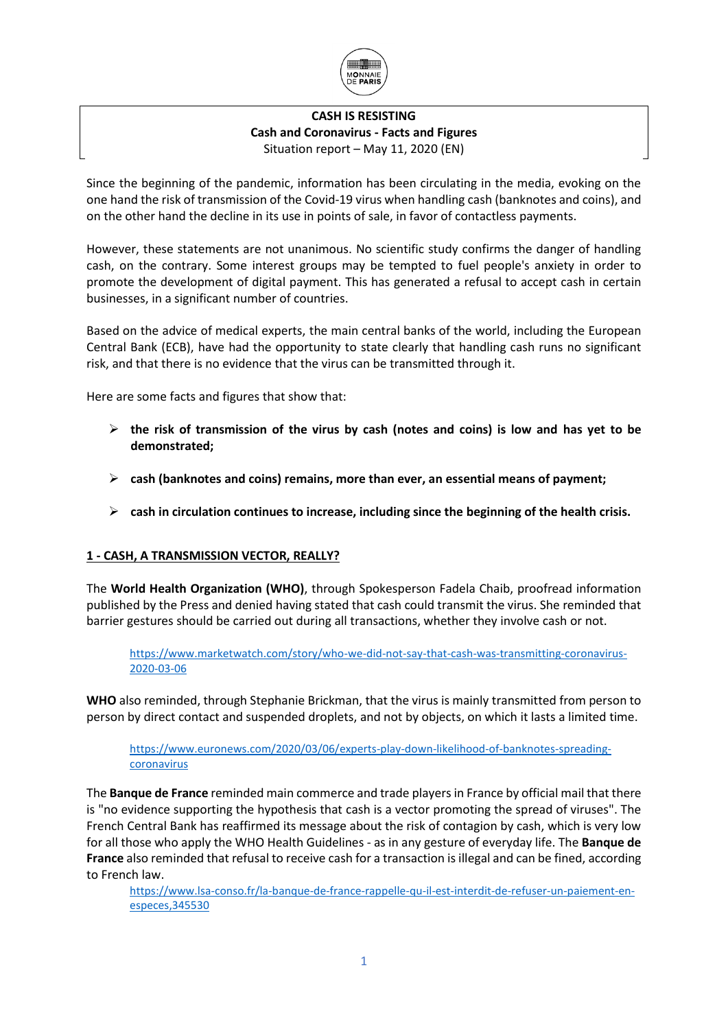

# **CASH IS RESISTING Cash and Coronavirus - Facts and Figures** Situation report – May 11, 2020 (EN)

Since the beginning of the pandemic, information has been circulating in the media, evoking on the one hand the risk of transmission of the Covid-19 virus when handling cash (banknotes and coins), and on the other hand the decline in its use in points of sale, in favor of contactless payments.

However, these statements are not unanimous. No scientific study confirms the danger of handling cash, on the contrary. Some interest groups may be tempted to fuel people's anxiety in order to promote the development of digital payment. This has generated a refusal to accept cash in certain businesses, in a significant number of countries.

Based on the advice of medical experts, the main central banks of the world, including the European Central Bank (ECB), have had the opportunity to state clearly that handling cash runs no significant risk, and that there is no evidence that the virus can be transmitted through it.

Here are some facts and figures that show that:

- ➢ **the risk of transmission of the virus by cash (notes and coins) is low and has yet to be demonstrated;**
- ➢ **cash (banknotes and coins) remains, more than ever, an essential means of payment;**
- ➢ **cash in circulation continues to increase, including since the beginning of the health crisis.**

# **1 - CASH, A TRANSMISSION VECTOR, REALLY?**

The **World Health Organization (WHO)**, through Spokesperson Fadela Chaib, proofread information published by the Press and denied having stated that cash could transmit the virus. She reminded that barrier gestures should be carried out during all transactions, whether they involve cash or not.

[https://www.marketwatch.com/story/who-we-did-not-say-that-cash-was-transmitting-coronavirus-](https://www.marketwatch.com/story/who-we-did-not-say-that-cash-was-transmitting-coronavirus-2020-03-06)[2020-03-06](https://www.marketwatch.com/story/who-we-did-not-say-that-cash-was-transmitting-coronavirus-2020-03-06)

**WHO** also reminded, through Stephanie Brickman, that the virus is mainly transmitted from person to person by direct contact and suspended droplets, and not by objects, on which it lasts a limited time.

[https://www.euronews.com/2020/03/06/experts-play-down-likelihood-of-banknotes-spreading](https://www.euronews.com/2020/03/06/experts-play-down-likelihood-of-banknotes-spreading-coronavirus)[coronavirus](https://www.euronews.com/2020/03/06/experts-play-down-likelihood-of-banknotes-spreading-coronavirus)

The **Banque de France** reminded main commerce and trade players in France by official mail that there is "no evidence supporting the hypothesis that cash is a vector promoting the spread of viruses". The French Central Bank has reaffirmed its message about the risk of contagion by cash, which is very low for all those who apply the WHO Health Guidelines - as in any gesture of everyday life. The **Banque de France** also reminded that refusal to receive cash for a transaction is illegal and can be fined, according to French law.

[https://www.lsa-conso.fr/la-banque-de-france-rappelle-qu-il-est-interdit-de-refuser-un-paiement-en](https://www.lsa-conso.fr/la-banque-de-france-rappelle-qu-il-est-interdit-de-refuser-un-paiement-en-especes,345530)[especes,345530](https://www.lsa-conso.fr/la-banque-de-france-rappelle-qu-il-est-interdit-de-refuser-un-paiement-en-especes,345530)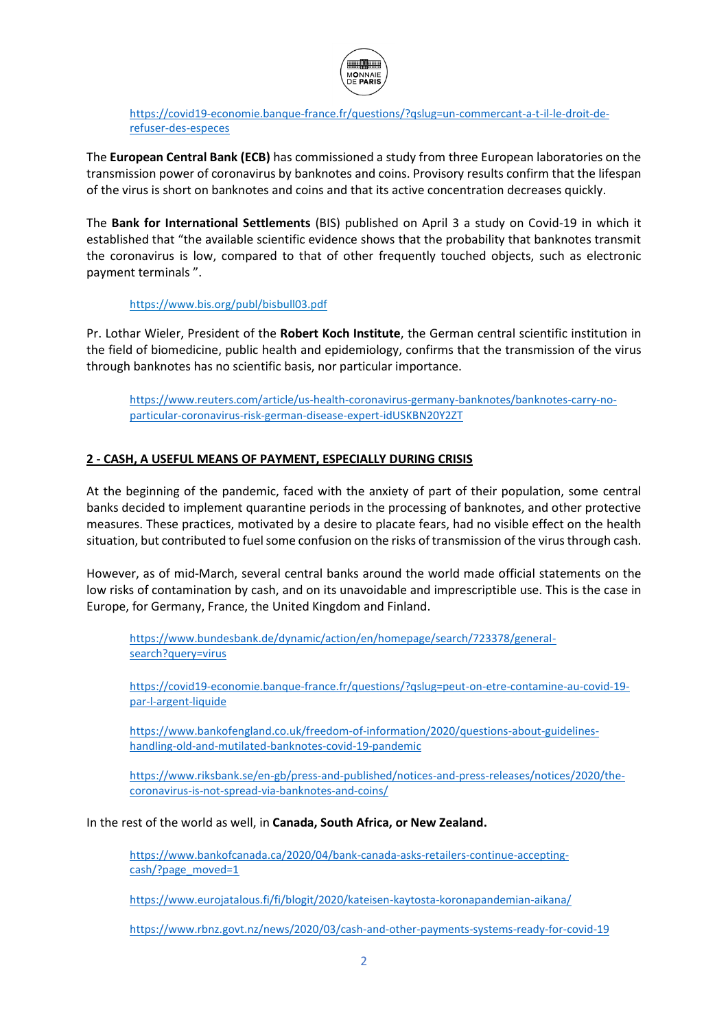

[https://covid19-economie.banque-france.fr/questions/?qslug=un-commercant-a-t-il-le-droit-de](https://covid19-economie.banque-france.fr/questions/?qslug=un-commercant-a-t-il-le-droit-de-refuser-des-especes)[refuser-des-especes](https://covid19-economie.banque-france.fr/questions/?qslug=un-commercant-a-t-il-le-droit-de-refuser-des-especes)

The **European Central Bank (ECB)** has commissioned a study from three European laboratories on the transmission power of coronavirus by banknotes and coins. Provisory results confirm that the lifespan of the virus is short on banknotes and coins and that its active concentration decreases quickly.

The **Bank for International Settlements** (BIS) published on April 3 a study on Covid-19 in which it established that "the available scientific evidence shows that the probability that banknotes transmit the coronavirus is low, compared to that of other frequently touched objects, such as electronic payment terminals ".

<https://www.bis.org/publ/bisbull03.pdf>

Pr. Lothar Wieler, President of the **Robert Koch Institute**, the German central scientific institution in the field of biomedicine, public health and epidemiology, confirms that the transmission of the virus through banknotes has no scientific basis, nor particular importance.

[https://www.reuters.com/article/us-health-coronavirus-germany-banknotes/banknotes-carry-no](https://www.reuters.com/article/us-health-coronavirus-germany-banknotes/banknotes-carry-no-particular-coronavirus-risk-german-disease-expert-idUSKBN20Y2ZT)[particular-coronavirus-risk-german-disease-expert-idUSKBN20Y2ZT](https://www.reuters.com/article/us-health-coronavirus-germany-banknotes/banknotes-carry-no-particular-coronavirus-risk-german-disease-expert-idUSKBN20Y2ZT)

# **2 - CASH, A USEFUL MEANS OF PAYMENT, ESPECIALLY DURING CRISIS**

At the beginning of the pandemic, faced with the anxiety of part of their population, some central banks decided to implement quarantine periods in the processing of banknotes, and other protective measures. These practices, motivated by a desire to placate fears, had no visible effect on the health situation, but contributed to fuel some confusion on the risks of transmission of the virus through cash.

However, as of mid-March, several central banks around the world made official statements on the low risks of contamination by cash, and on its unavoidable and imprescriptible use. This is the case in Europe, for Germany, France, the United Kingdom and Finland.

[https://www.bundesbank.de/dynamic/action/en/homepage/search/723378/general](https://www.bundesbank.de/dynamic/action/en/homepage/search/723378/general-search?query=virus)[search?query=virus](https://www.bundesbank.de/dynamic/action/en/homepage/search/723378/general-search?query=virus)

[https://covid19-economie.banque-france.fr/questions/?qslug=peut-on-etre-contamine-au-covid-19](https://covid19-economie.banque-france.fr/questions/?qslug=peut-on-etre-contamine-au-covid-19-par-l-argent-liquide) [par-l-argent-liquide](https://covid19-economie.banque-france.fr/questions/?qslug=peut-on-etre-contamine-au-covid-19-par-l-argent-liquide)

[https://www.bankofengland.co.uk/freedom-of-information/2020/questions-about-guidelines](https://www.bankofengland.co.uk/freedom-of-information/2020/questions-about-guidelines-handling-old-and-mutilated-banknotes-covid-19-pandemic)[handling-old-and-mutilated-banknotes-covid-19-pandemic](https://www.bankofengland.co.uk/freedom-of-information/2020/questions-about-guidelines-handling-old-and-mutilated-banknotes-covid-19-pandemic)

[https://www.riksbank.se/en-gb/press-and-published/notices-and-press-releases/notices/2020/the](https://www.riksbank.se/en-gb/press-and-published/notices-and-press-releases/notices/2020/the-coronavirus-is-not-spread-via-banknotes-and-coins/)[coronavirus-is-not-spread-via-banknotes-and-coins/](https://www.riksbank.se/en-gb/press-and-published/notices-and-press-releases/notices/2020/the-coronavirus-is-not-spread-via-banknotes-and-coins/)

In the rest of the world as well, in **Canada, South Africa, or New Zealand.**

[https://www.bankofcanada.ca/2020/04/bank-canada-asks-retailers-continue-accepting](https://www.bankofcanada.ca/2020/04/bank-canada-asks-retailers-continue-accepting-cash/?page_moved=1)[cash/?page\\_moved=1](https://www.bankofcanada.ca/2020/04/bank-canada-asks-retailers-continue-accepting-cash/?page_moved=1)

<https://www.eurojatalous.fi/fi/blogit/2020/kateisen-kaytosta-koronapandemian-aikana/>

<https://www.rbnz.govt.nz/news/2020/03/cash-and-other-payments-systems-ready-for-covid-19>